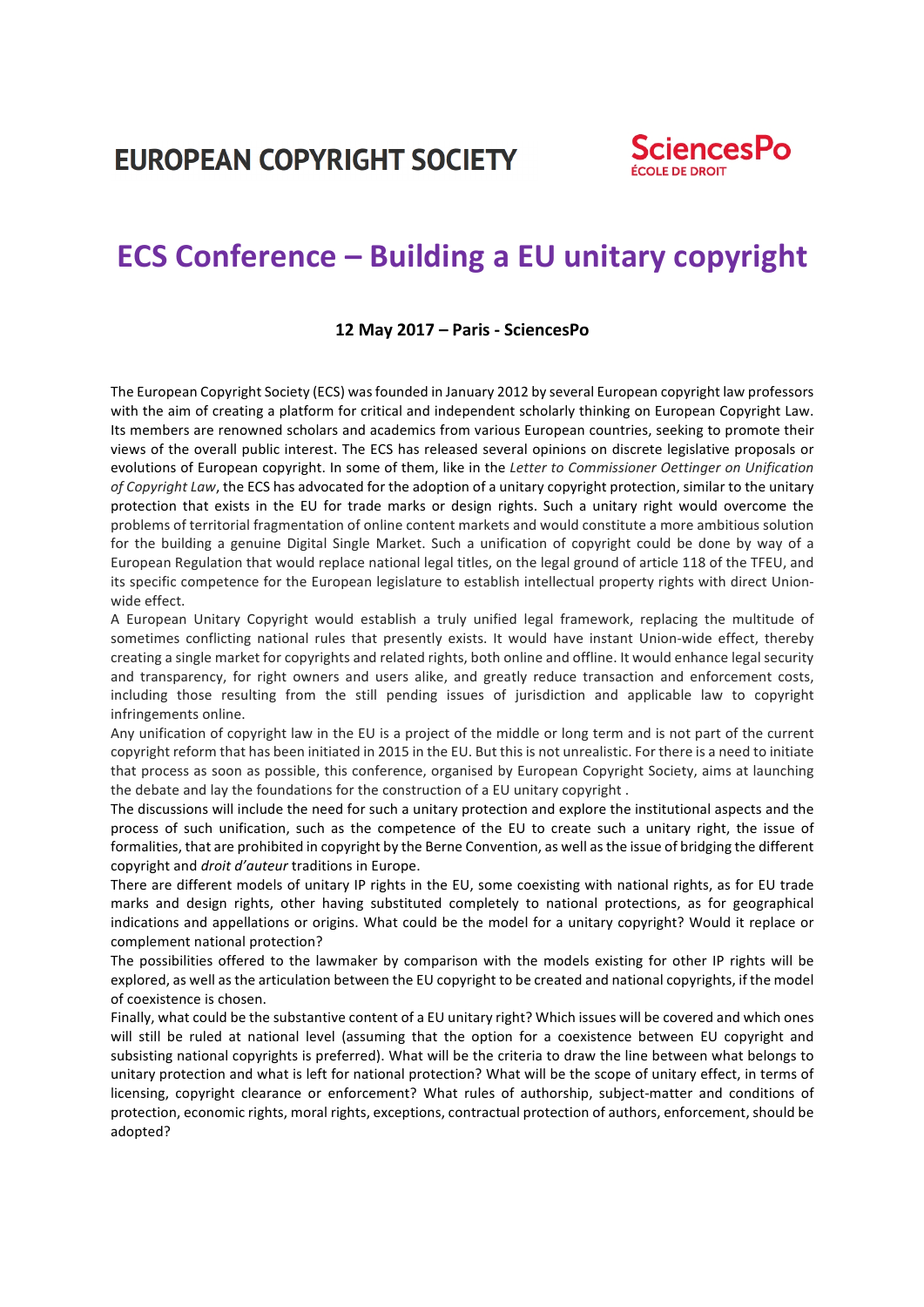**EUROPEAN COPYRIGHT SOCIETY** 



# **ECS Conference – Building a EU unitary copyright**

#### **12 May 2017 – Paris - SciencesPo**

The European Copyright Society (ECS) was founded in January 2012 by several European copyright law professors with the aim of creating a platform for critical and independent scholarly thinking on European Copyright Law. Its members are renowned scholars and academics from various European countries, seeking to promote their views of the overall public interest. The ECS has released several opinions on discrete legislative proposals or evolutions of European copyright. In some of them, like in the *Letter to Commissioner Oettinger on Unification of Copyright Law*, the ECS has advocated for the adoption of a unitary copyright protection, similar to the unitary protection that exists in the EU for trade marks or design rights. Such a unitary right would overcome the problems of territorial fragmentation of online content markets and would constitute a more ambitious solution for the building a genuine Digital Single Market. Such a unification of copyright could be done by way of a European Regulation that would replace national legal titles, on the legal ground of article 118 of the TFEU, and its specific competence for the European legislature to establish intellectual property rights with direct Unionwide effect.

A European Unitary Copyright would establish a truly unified legal framework, replacing the multitude of sometimes conflicting national rules that presently exists. It would have instant Union-wide effect, thereby creating a single market for copyrights and related rights, both online and offline. It would enhance legal security and transparency, for right owners and users alike, and greatly reduce transaction and enforcement costs, including those resulting from the still pending issues of jurisdiction and applicable law to copyright infringements online.

Any unification of copyright law in the EU is a project of the middle or long term and is not part of the current copyright reform that has been initiated in 2015 in the EU. But this is not unrealistic. For there is a need to initiate that process as soon as possible, this conference, organised by European Copyright Society, aims at launching the debate and lay the foundations for the construction of a EU unitary copyright.

The discussions will include the need for such a unitary protection and explore the institutional aspects and the process of such unification, such as the competence of the EU to create such a unitary right, the issue of formalities, that are prohibited in copyright by the Berne Convention, as well as the issue of bridging the different copyright and *droit d'auteur* traditions in Europe.

There are different models of unitary IP rights in the EU, some coexisting with national rights, as for EU trade marks and design rights, other having substituted completely to national protections, as for geographical indications and appellations or origins. What could be the model for a unitary copyright? Would it replace or complement national protection?

The possibilities offered to the lawmaker by comparison with the models existing for other IP rights will be explored, as well as the articulation between the EU copyright to be created and national copyrights, if the model of coexistence is chosen.

Finally, what could be the substantive content of a EU unitary right? Which issues will be covered and which ones will still be ruled at national level (assuming that the option for a coexistence between EU copyright and subsisting national copyrights is preferred). What will be the criteria to draw the line between what belongs to unitary protection and what is left for national protection? What will be the scope of unitary effect, in terms of licensing, copyright clearance or enforcement? What rules of authorship, subject-matter and conditions of protection, economic rights, moral rights, exceptions, contractual protection of authors, enforcement, should be adopted?